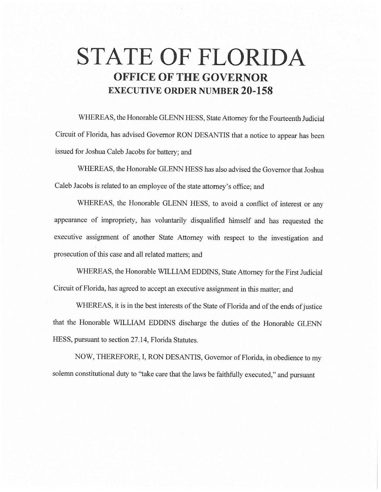## **STATE OF FLORIDA OFFICE OF THE GOVERNOR EXECUTIVE ORDER NUMBER 20-158**

WHEREAS, the Honorable GLENN HESS, State Attorney for the Fourteenth Judicial Circuit of Florida, has advised Governor RON DESANTIS that a notice to appear has been issued for Joshua Caleb Jacobs for battery; and

WHEREAS, the Honorable GLENN HESS has also advised the Governor that Joshua Caleb Jacobs is related to an employee of the state attorney's office; and

WHEREAS, the Honorable GLENN HESS, to avoid a conflict of interest or any appearance of impropriety, has voluntarily disqualified himself and has requested the executive assignment of another State Attorney with respect to the investigation and prosecution of this case and all related matters; and

WHEREAS, the Honorable WILLIAM EDDINS, State Attorney for the First Judicial Circuit of Florida, has agreed to accept an executive assignment in this matter; and

WHEREAS, it is in the best interests of the State of Florida and of the ends of justice that the Honorable WILLIAM EDDINS discharge the duties of the Honorable GLENN HESS, pursuant to section 27.14, Florida Statutes.

NOW, THEREFORE, I, RON DESANTIS, Governor of Florida, in obedience to my solemn constitutional duty to "take care that the laws be faithfully executed," and pursuant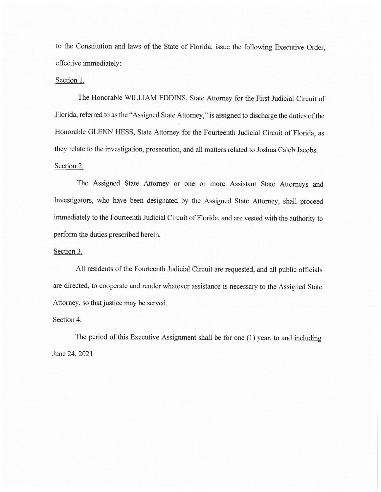to the Constitution and laws of the State of Florida, issue the following Executive Order, effective immediately:

## Section 1.

The Honorable WILLIAM EDDINS, State Attorney for the First Judicial Circuit of Florida, referred to as the "Assigned State Attorney," is assigned to discharge the duties of the Honorable GLENN HESS, State Attorney for the Fourteenth Judicial Circuit of Florida, as they relate to the investigation, prosecution, and all matters related to Joshua Caleb Jacobs. Section 2.

The Assigned State Attorney or one or more Assistant State Attorneys and Investigators, who have been designated by the Assigned State Attorney, shall proceed immediately to the Fourteenth Judicial Circuit of Florida, and are vested with the authority to perform the duties prescribed herein.

## Section 3.

All residents of the Fourteenth Judicial Circuit are requested, and all public officials are directed, to cooperate and render whatever assistance is necessary to the Assigned State Attorney, so that justice may be served.

## Section 4.

The period of this Executive Assignment shall be for one (1) year, to and including June 24, 2021.